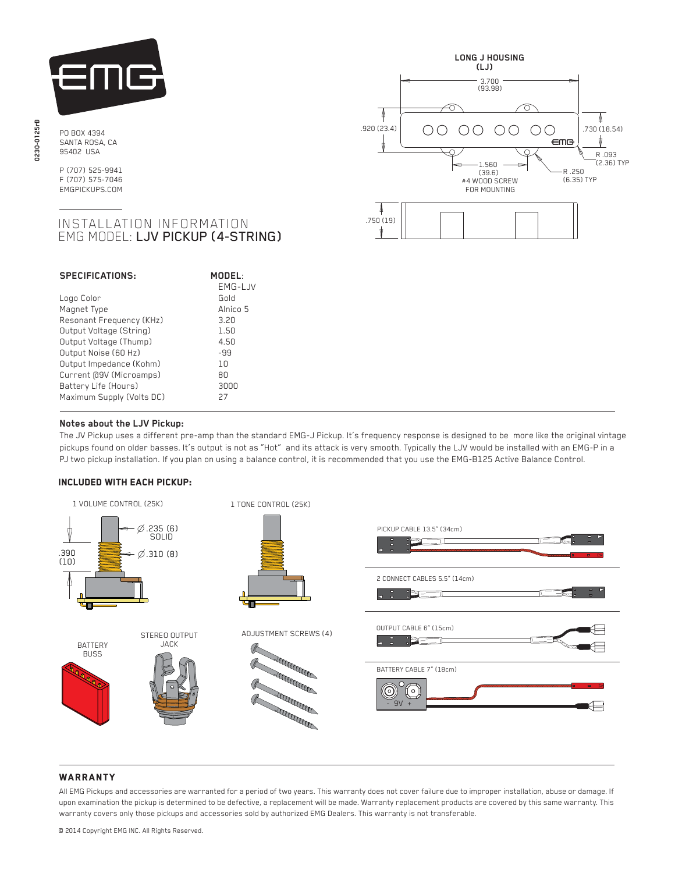

PO BOX 4394 SANTA ROSA, CA 95402 USA

P (707) 525-9941 F (707) 575-7046 EMGPICKUPS.COM

# INSTALLATION INFORMATION EMG MODEL: LJV PICKUP (4-STRING)

| <b>SPECIFICATIONS:</b>    | MODEL:<br>EMG-LJV |
|---------------------------|-------------------|
| Logo Color                | Gold              |
| Magnet Type               | Alnico 5          |
| Resonant Frequency (KHz)  | 3.20              |
| Output Voltage (String)   | 1.50              |
| Output Voltage (Thump)    | 4.50              |
| Output Noise (60 Hz)      | -99               |
| Output Impedance (Kohm)   | 1 N               |
| Current [09V (Microamps)  | ЯN                |
| Battery Life (Hours)      | annn              |
| Maximum Supply (Volts DC) | 27                |



# **Notes about the LJV Pickup:**

 The JV Pickup uses a different pre-amp than the standard EMG-J Pickup. It's frequency response is designed to be more like the original vintage pickups found on older basses. It's output is not as "Hot" and its attack is very smooth. Typically the LJV would be installed with an EMG-P in a PJ two pickup installation. If you plan on using a balance control, it is recommended that you use the EMG-B125 Active Balance Control.

#### Included with each pickup:



## **WARRANTY**

All EMG Pickups and accessories are warranted for a period of two years. This warranty does not cover failure due to improper installation, abuse or damage. If upon examination the pickup is determined to be defective, a replacement will be made. Warranty replacement products are covered by this same warranty. This warranty covers only those pickups and accessories sold by authorized EMG Dealers. This warranty is not transferable.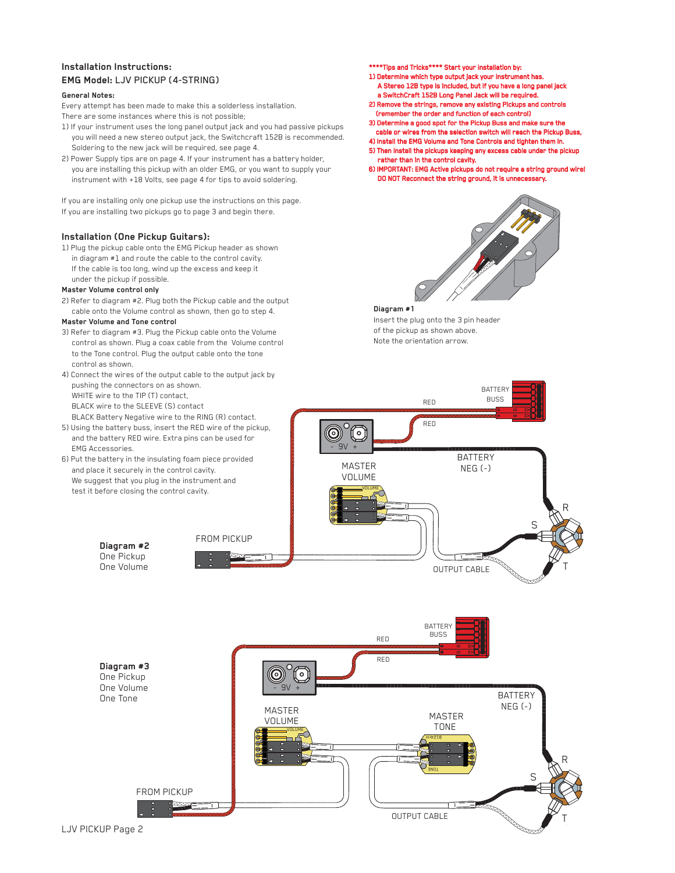## **Installation Instructions: EMG Model:** LJV PICKUP (4-STRING)

#### **General Notes:**

Every attempt has been made to make this a solderless installation.

- There are some instances where this is not possible;
- 1) If your instrument uses the long panel output jack and you had passive pickups you will need a new stereo output jack, the Switchcraft 152B is recommended. Soldering to the new jack will be required, see page 4.
- 2) Power Supply tips are on page 4. If your instrument has a battery holder, you are installing this pickup with an older EMG, or you want to supply your instrument with +18 Volts, see page 4 for tips to avoid soldering.

If you are installing only one pickup use the instructions on this page.

If you are installing two pickups go to page 3 and begin there.

#### **Installation (One Pickup Guitars):**

1) Plug the pickup cable onto the EMG Pickup header as shown in diagram #1 and route the cable to the control cavity. If the cable is too long, wind up the excess and keep it under the pickup if possible.

### **Master Volume control only**

2) Refer to diagram #2. Plug both the Pickup cable and the output cable onto the Volume control as shown, then go to step 4.

#### **Master Volume and Tone control**

- 3) Refer to diagram #3. Plug the Pickup cable onto the Volume control as shown. Plug a coax cable from the Volume control to the Tone control. Plug the output cable onto the tone control as shown.
- 4) Connect the wires of the output cable to the output jack by pushing the connectors on as shown. WHITE wire to the TIP (T) contact, BLACK wire to the SLEEVE (S) contact BLACK Battery Negative wire to the RING (R) contact.
- 5) Using the battery buss, insert the RED wire of the pickup, and the battery RED wire. Extra pins can be used for EMG Accessories.
- 6) Put the battery in the insulating foam piece provided and place it securely in the control cavity. We suggest that you plug in the instrument and test it before closing the control cavity.
- \*\*Tips and Tricks\*\*\*\* Start your installation by:
- 1) Determine which type output jack your instrument has. A Stereo 12B type is Included, but if you have a long panel jack a SwitchCraft 152B Long Panel Jack will be required.
- 2) Remove the strings, remove any existing Pickups and controls (remember the order and function of each control)
- 3) Determine a good spot for the Pickup Buss and make sure the cable or wires from the selection switch will reach the Pickup Buss,
- 4) Install the EMG Volume and Tone Controls and tighten them in.
- 5) Then install the pickups keeping any excess cable under the pickup rather than in the control cavity.
- 6) IMPORTANT: EMG Active pickups do not require a string ground wire! DO NOT Reconnect the string ground, it is unnecessary.



#### **Diagram #1**

Insert the plug onto the 3 pin header of the pickup as shown above. Note the orientation arrow.



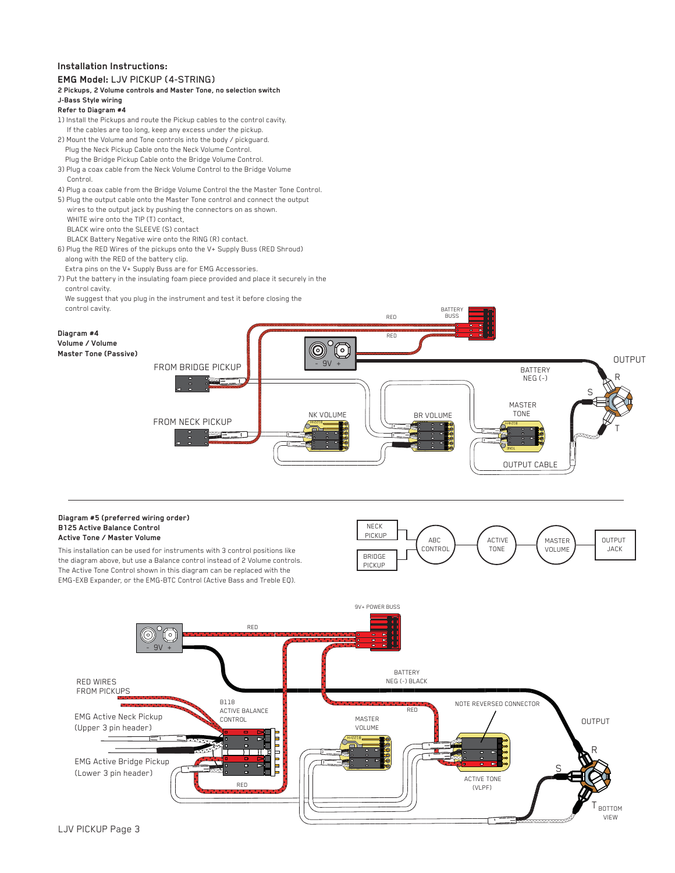## **Installation Instructions:**



BOTTOM VIEW T